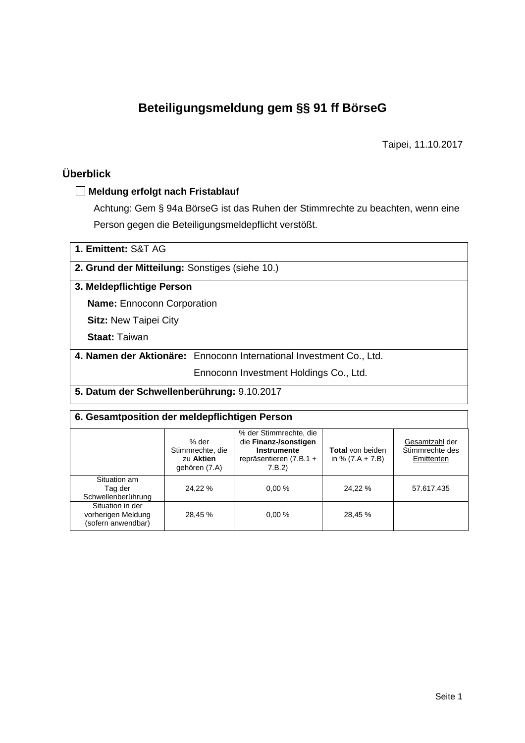# **Beteiligungsmeldung gem §§ 91 ff BörseG**

Taipei, 11.10.2017

## **Überblick**

#### **Meldung erfolgt nach Fristablauf**

Achtung: Gem § 94a BörseG ist das Ruhen der Stimmrechte zu beachten, wenn eine Person gegen die Beteiligungsmeldepflicht verstößt.

| 1. Emittent: S&T AG                            |                                                                     |  |  |  |  |
|------------------------------------------------|---------------------------------------------------------------------|--|--|--|--|
| 2. Grund der Mitteilung: Sonstiges (siehe 10.) |                                                                     |  |  |  |  |
| 3. Meldepflichtige Person                      |                                                                     |  |  |  |  |
| <b>Name:</b> Ennoconn Corporation              |                                                                     |  |  |  |  |
| <b>Sitz: New Taipei City</b>                   |                                                                     |  |  |  |  |
| <b>Staat: Taiwan</b>                           |                                                                     |  |  |  |  |
|                                                | 4. Namen der Aktionäre: Ennoconn International Investment Co., Ltd. |  |  |  |  |
|                                                | Ennoconn Investment Holdings Co., Ltd.                              |  |  |  |  |
| 5. Datum der Schwellenberührung: 9.10.2017     |                                                                     |  |  |  |  |

| 6. Gesamtposition der meldepflichtigen Person                |                                                         |                                                                                                           |                                               |                                                 |  |  |
|--------------------------------------------------------------|---------------------------------------------------------|-----------------------------------------------------------------------------------------------------------|-----------------------------------------------|-------------------------------------------------|--|--|
|                                                              | % der<br>Stimmrechte, die<br>zu Aktien<br>gehören (7.A) | % der Stimmrechte, die<br>die Finanz-/sonstigen<br><b>Instrumente</b><br>repräsentieren (7.B.1 +<br>7.B.2 | <b>Total</b> von beiden<br>in % $(7.A + 7.B)$ | Gesamtzahl der<br>Stimmrechte des<br>Emittenten |  |  |
| Situation am<br>Tag der<br>Schwellenberührung                | 24.22 %                                                 | 0.00%                                                                                                     | 24,22 %                                       | 57.617.435                                      |  |  |
| Situation in der<br>vorherigen Meldung<br>(sofern anwendbar) | 28,45 %                                                 | 0.00%                                                                                                     | 28,45 %                                       |                                                 |  |  |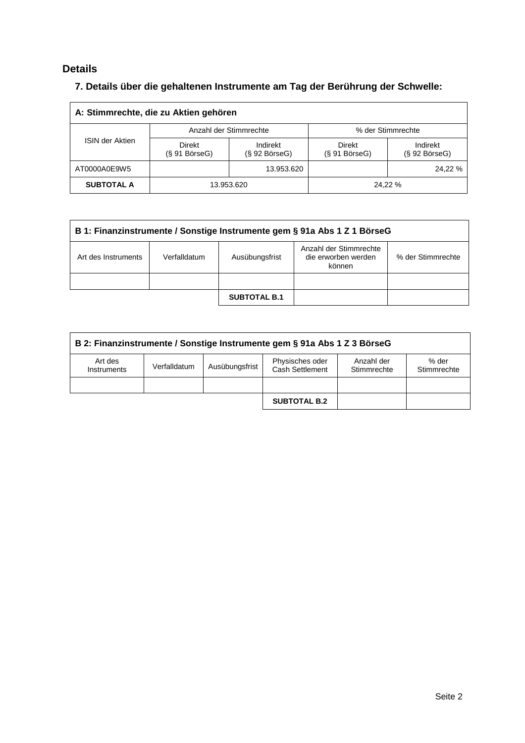### **Details**

## **7. Details über die gehaltenen Instrumente am Tag der Berührung der Schwelle:**

| A: Stimmrechte, die zu Aktien gehören |                                         |                                 |                               |                                 |  |  |
|---------------------------------------|-----------------------------------------|---------------------------------|-------------------------------|---------------------------------|--|--|
|                                       |                                         | Anzahl der Stimmrechte          | % der Stimmrechte             |                                 |  |  |
| <b>ISIN der Aktien</b>                | <b>Direkt</b><br>$(S 91 B\ddot{o}rseG)$ | Indirekt<br>$(S 92 B$ örse $G)$ | Direkt<br>$(S 91 B$ örse $G)$ | Indirekt<br>$(S 92 B$ örse $G)$ |  |  |
| AT0000A0E9W5                          |                                         | 13.953.620                      |                               | 24.22 %                         |  |  |
| <b>SUBTOTAL A</b>                     | 13.953.620                              |                                 |                               | 24,22 %                         |  |  |

| B 1: Finanzinstrumente / Sonstige Instrumente gem § 91a Abs 1 Z 1 BörseG                                                              |  |  |  |  |  |
|---------------------------------------------------------------------------------------------------------------------------------------|--|--|--|--|--|
| Anzahl der Stimmrechte<br>% der Stimmrechte<br>Verfalldatum<br>Ausübungsfrist<br>die erworben werden<br>Art des Instruments<br>können |  |  |  |  |  |
|                                                                                                                                       |  |  |  |  |  |
| <b>SUBTOTAL B.1</b>                                                                                                                   |  |  |  |  |  |

| B 2: Finanzinstrumente / Sonstige Instrumente gem § 91a Abs 1 Z 3 BörseG |              |                |                                    |                           |                      |
|--------------------------------------------------------------------------|--------------|----------------|------------------------------------|---------------------------|----------------------|
| Art des<br>Instruments                                                   | Verfalldatum | Ausübungsfrist | Physisches oder<br>Cash Settlement | Anzahl der<br>Stimmrechte | % der<br>Stimmrechte |
|                                                                          |              |                |                                    |                           |                      |
|                                                                          |              |                | <b>SUBTOTAL B.2</b>                |                           |                      |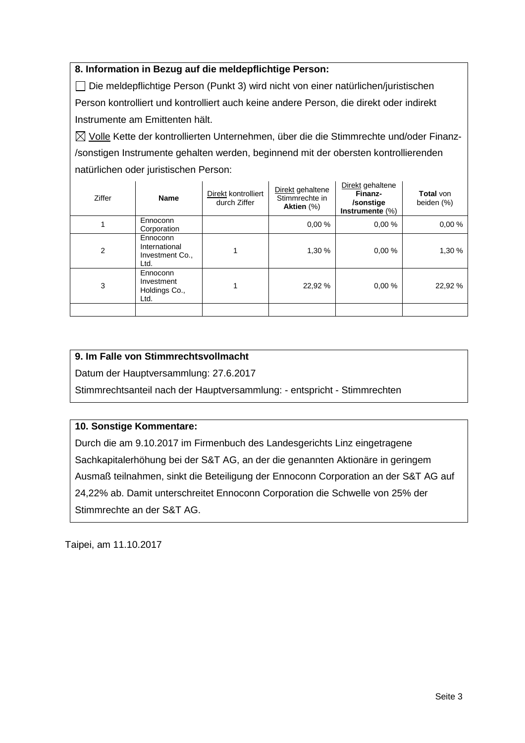#### **8. Information in Bezug auf die meldepflichtige Person:**

 Die meldepflichtige Person (Punkt 3) wird nicht von einer natürlichen/juristischen Person kontrolliert und kontrolliert auch keine andere Person, die direkt oder indirekt Instrumente am Emittenten hält.

 $\boxtimes$  Volle Kette der kontrollierten Unternehmen, über die die Stimmrechte und/oder Finanz-/sonstigen Instrumente gehalten werden, beginnend mit der obersten kontrollierenden natürlichen oder juristischen Person:

| Ziffer | <b>Name</b>                                          | Direkt kontrolliert<br>durch Ziffer | Direkt gehaltene<br>Stimmrechte in<br>Aktien (%) | Direkt gehaltene<br>Finanz-<br>/sonstige<br>Instrumente (%) | <b>Total von</b><br>beiden (%) |
|--------|------------------------------------------------------|-------------------------------------|--------------------------------------------------|-------------------------------------------------------------|--------------------------------|
|        | Ennoconn<br>Corporation                              |                                     | 0.00%                                            | 0.00%                                                       | 0.00%                          |
| 2      | Ennoconn<br>International<br>Investment Co.,<br>Ltd. |                                     | 1,30%                                            | 0.00%                                                       | 1,30 %                         |
| 3      | Ennoconn<br>Investment<br>Holdings Co.,<br>Ltd.      |                                     | 22,92 %                                          | 0.00%                                                       | 22,92 %                        |
|        |                                                      |                                     |                                                  |                                                             |                                |

#### **9. Im Falle von Stimmrechtsvollmacht**

Datum der Hauptversammlung: 27.6.2017

Stimmrechtsanteil nach der Hauptversammlung: - entspricht - Stimmrechten

#### **10. Sonstige Kommentare:**

Durch die am 9.10.2017 im Firmenbuch des Landesgerichts Linz eingetragene Sachkapitalerhöhung bei der S&T AG, an der die genannten Aktionäre in geringem Ausmaß teilnahmen, sinkt die Beteiligung der Ennoconn Corporation an der S&T AG auf 24,22% ab. Damit unterschreitet Ennoconn Corporation die Schwelle von 25% der Stimmrechte an der S&T AG.

Taipei, am 11.10.2017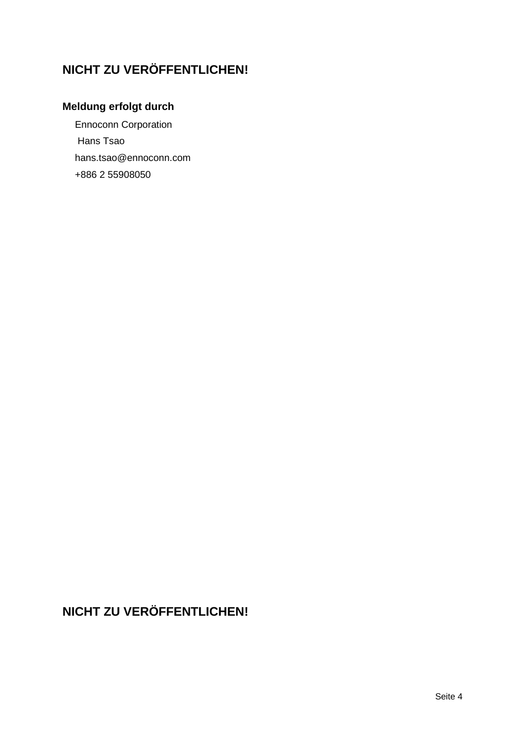# **NICHT ZU VERÖFFENTLICHEN!**

## **Meldung erfolgt durch**

Ennoconn Corporation Hans Tsao hans.tsao@ennoconn.com +886 2 55908050

# **NICHT ZU VERÖFFENTLICHEN!**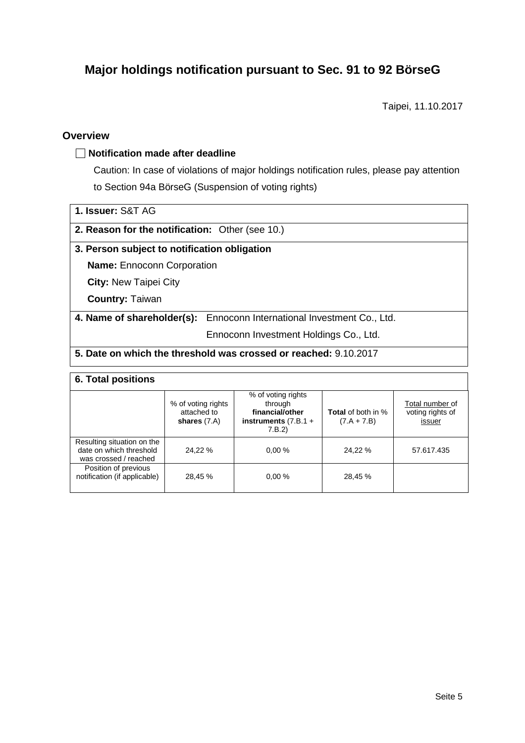## **Major holdings notification pursuant to Sec. 91 to 92 BörseG**

Taipei, 11.10.2017

#### **Overview**

#### **Notification made after deadline**

Caution: In case of violations of major holdings notification rules, please pay attention to Section 94a BörseG (Suspension of voting rights)

| 1. Issuer: S&T AG |  |  |
|-------------------|--|--|
|-------------------|--|--|

**2. Reason for the notification:** Other (see 10.)

#### **3. Person subject to notification obligation**

**Name:** Ennoconn Corporation

**City:** New Taipei City

**Country:** Taiwan

**4. Name of shareholder(s):** Ennoconn International Investment Co., Ltd.

Ennoconn Investment Holdings Co., Ltd.

#### **5. Date on which the threshold was crossed or reached:** 9.10.2017

#### **6. Total positions**

| -- - - --- - - - - - - - - - -                                                 |                                                     |                                                                                      |                                            |                                               |  |  |  |
|--------------------------------------------------------------------------------|-----------------------------------------------------|--------------------------------------------------------------------------------------|--------------------------------------------|-----------------------------------------------|--|--|--|
|                                                                                | % of voting rights<br>attached to<br>shares $(7.A)$ | % of voting rights<br>through<br>financial/other<br>instruments $(7.B.1 +$<br>7.B.2) | <b>Total</b> of both in %<br>$(7.A + 7.B)$ | Total number of<br>voting rights of<br>issuer |  |  |  |
| Resulting situation on the<br>date on which threshold<br>was crossed / reached | 24.22 %                                             | 0.00%                                                                                | 24.22 %                                    | 57.617.435                                    |  |  |  |
| Position of previous<br>notification (if applicable)                           | 28,45 %                                             | 0.00%                                                                                | 28,45 %                                    |                                               |  |  |  |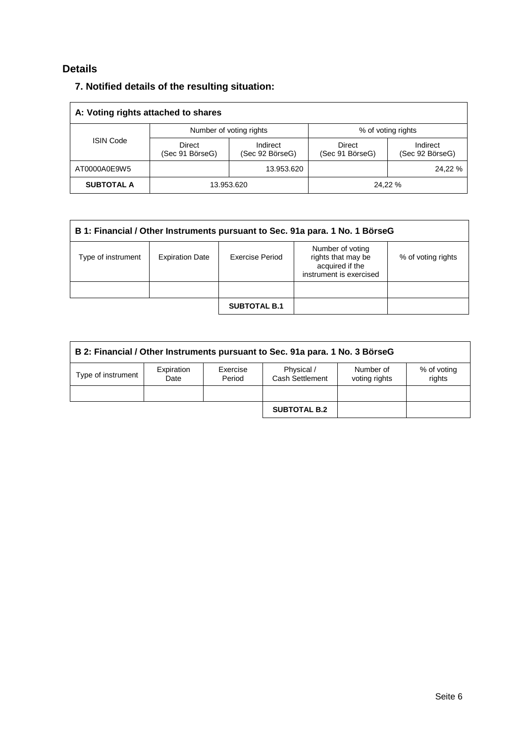### **Details**

## **7. Notified details of the resulting situation:**

| A: Voting rights attached to shares |                                  |                             |                           |                             |  |
|-------------------------------------|----------------------------------|-----------------------------|---------------------------|-----------------------------|--|
|                                     |                                  | Number of voting rights     | % of voting rights        |                             |  |
| <b>ISIN Code</b>                    | <b>Direct</b><br>(Sec 91 BörseG) | Indirect<br>(Sec 92 BörseG) | Direct<br>(Sec 91 BörseG) | Indirect<br>(Sec 92 BörseG) |  |
| AT0000A0E9W5                        |                                  | 13.953.620                  |                           | 24.22 %                     |  |
| <b>SUBTOTAL A</b>                   | 13.953.620                       |                             |                           | 24.22 %                     |  |

| B 1: Financial / Other Instruments pursuant to Sec. 91a para. 1 No. 1 BörseG |                        |                 |                                                                                      |                    |  |
|------------------------------------------------------------------------------|------------------------|-----------------|--------------------------------------------------------------------------------------|--------------------|--|
| Type of instrument                                                           | <b>Expiration Date</b> | Exercise Period | Number of voting<br>rights that may be<br>acquired if the<br>instrument is exercised | % of voting rights |  |
|                                                                              |                        |                 |                                                                                      |                    |  |
| <b>SUBTOTAL B.1</b>                                                          |                        |                 |                                                                                      |                    |  |

| B 2: Financial / Other Instruments pursuant to Sec. 91a para. 1 No. 3 BörseG |                    |                    |                               |                            |                       |
|------------------------------------------------------------------------------|--------------------|--------------------|-------------------------------|----------------------------|-----------------------|
| Type of instrument                                                           | Expiration<br>Date | Exercise<br>Period | Physical /<br>Cash Settlement | Number of<br>voting rights | % of voting<br>rights |
|                                                                              |                    |                    |                               |                            |                       |
|                                                                              |                    |                    | <b>SUBTOTAL B.2</b>           |                            |                       |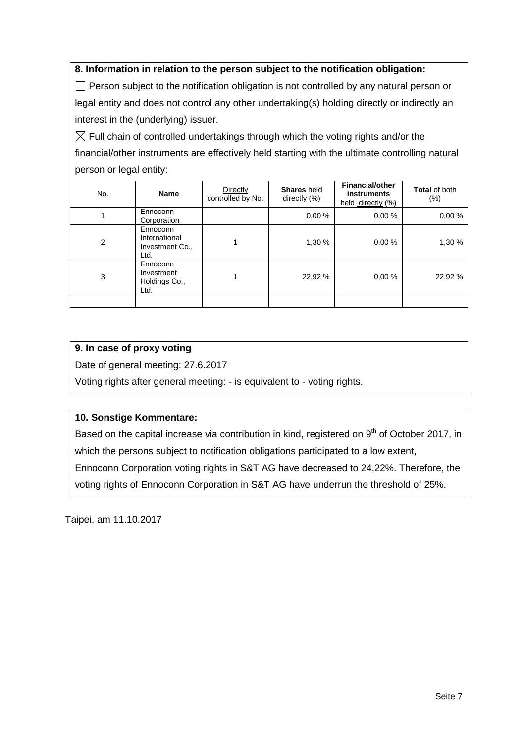#### **8. Information in relation to the person subject to the notification obligation:**

 $\Box$  Person subject to the notification obligation is not controlled by any natural person or legal entity and does not control any other undertaking(s) holding directly or indirectly an interest in the (underlying) issuer.

 $\boxtimes$  Full chain of controlled undertakings through which the voting rights and/or the financial/other instruments are effectively held starting with the ultimate controlling natural person or legal entity:

| No. | <b>Name</b>                                          | <b>Directly</b><br>controlled by No. | <b>Shares</b> held<br>directly (%) | <b>Financial/other</b><br>instruments<br>held directly (%) | <b>Total of both</b><br>$(\% )$ |
|-----|------------------------------------------------------|--------------------------------------|------------------------------------|------------------------------------------------------------|---------------------------------|
|     | Ennoconn<br>Corporation                              |                                      | 0.00%                              | 0.00%                                                      | 0.00%                           |
| 2   | Ennoconn<br>International<br>Investment Co.,<br>Ltd. |                                      | 1,30 %                             | 0.00%                                                      | 1,30 %                          |
| 3   | Ennoconn<br>Investment<br>Holdings Co.,<br>Ltd.      |                                      | 22,92 %                            | 0.00%                                                      | 22,92 %                         |
|     |                                                      |                                      |                                    |                                                            |                                 |

#### **9. In case of proxy voting**

Date of general meeting: 27.6.2017

Voting rights after general meeting: - is equivalent to - voting rights.

#### **10. Sonstige Kommentare:**

Based on the capital increase via contribution in kind, registered on  $9<sup>th</sup>$  of October 2017, in which the persons subject to notification obligations participated to a low extent, Ennoconn Corporation voting rights in S&T AG have decreased to 24,22%. Therefore, the

voting rights of Ennoconn Corporation in S&T AG have underrun the threshold of 25%.

Taipei, am 11.10.2017